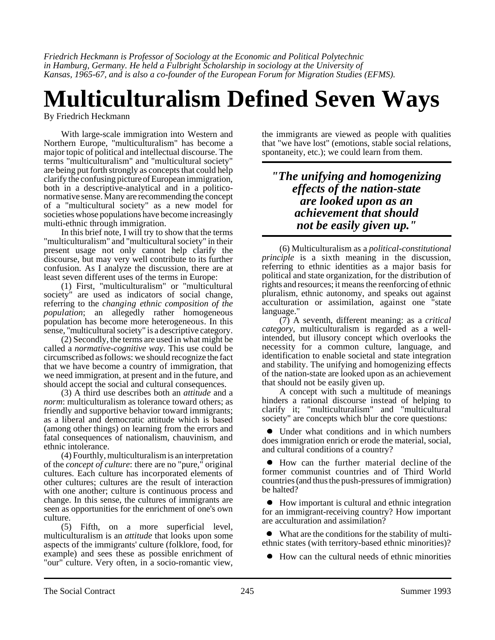*Friedrich Heckmann is Professor of Sociology at the Economic and Political Polytechnic in Hamburg, Germany. He held a Fulbright Scholarship in sociology at the University of Kansas, 1965-67, and is also a co-founder of the European Forum for Migration Studies (EFMS).*

## **Multiculturalism Defined Seven Ways**

By Friedrich Heckmann

With large-scale immigration into Western and Northern Europe, "multiculturalism" has become a major topic of political and intellectual discourse. The terms "multiculturalism" and "multicultural society" are being put forth strongly as concepts that could help clarify the confusing picture of European immigration, both in a descriptive-analytical and in a politiconormative sense. Many are recommending the concept of a "multicultural society" as a new model for societies whose populations have become increasingly multi-ethnic through immigration.

In this brief note, I will try to show that the terms "multiculturalism" and "multicultural society" in their present usage not only cannot help clarify the discourse, but may very well contribute to its further confusion. As I analyze the discussion, there are at least seven different uses of the terms in Europe:

(1) First, "multiculturalism" or "multicultural society" are used as indicators of social change, referring to the *changing ethnic composition of the population*; an allegedly rather homogeneous population has become more heterogeneous. In this sense, "multicultural society" is a descriptive category.

(2) Secondly, the terms are used in what might be called a *normative-cognitive way*. This use could be circumscribed as follows: we should recognize the fact that we have become a country of immigration, that we need immigration, at present and in the future, and should accept the social and cultural consequences.

(3) A third use describes both an *attitude* and a *norm*: multiculturalism as tolerance toward others; as friendly and supportive behavior toward immigrants; as a liberal and democratic attitude which is based (among other things) on learning from the errors and fatal consequences of nationalism, chauvinism, and ethnic intolerance.

(4) Fourthly, multiculturalism is an interpretation of the *concept of culture*: there are no "pure," original cultures. Each culture has incorporated elements of other cultures; cultures are the result of interaction with one another; culture is continuous process and change. In this sense, the cultures of immigrants are seen as opportunities for the enrichment of one's own culture.

(5) Fifth, on a more superficial level, multiculturalism is an *attitude* that looks upon some aspects of the immigrants' culture (folklore, food, for example) and sees these as possible enrichment of "our" culture. Very often, in a socio-romantic view, the immigrants are viewed as people with qualities that "we have lost" (emotions, stable social relations, spontaneity, etc.); we could learn from them.

## *"The unifying and homogenizing effects of the nation-state are looked upon as an achievement that should not be easily given up."*

(6) Multiculturalism as a *political-constitutional principle* is a sixth meaning in the discussion, referring to ethnic identities as a major basis for political and state organization, for the distribution of rights and resources; it means the reenforcing of ethnic pluralism, ethnic autonomy, and speaks out against acculturation or assimilation, against one "state language."

(7) A seventh, different meaning: as a *critical category*, multiculturalism is regarded as a wellintended, but illusory concept which overlooks the necessity for a common culture, language, and identification to enable societal and state integration and stability. The unifying and homogenizing effects of the nation-state are looked upon as an achievement that should not be easily given up.

A concept with such a multitude of meanings hinders a rational discourse instead of helping to clarify it; "multiculturalism" and "multicultural society" are concepts which blur the core questions:

 Under what conditions and in which numbers does immigration enrich or erode the material, social, and cultural conditions of a country?

 How can the further material decline of the former communist countries and of Third World countries (and thus the push-pressures of immigration) be halted?

 How important is cultural and ethnic integration for an immigrant-receiving country? How important are acculturation and assimilation?

 What are the conditions for the stability of multiethnic states (with territory-based ethnic minorities)?

How can the cultural needs of ethnic minorities